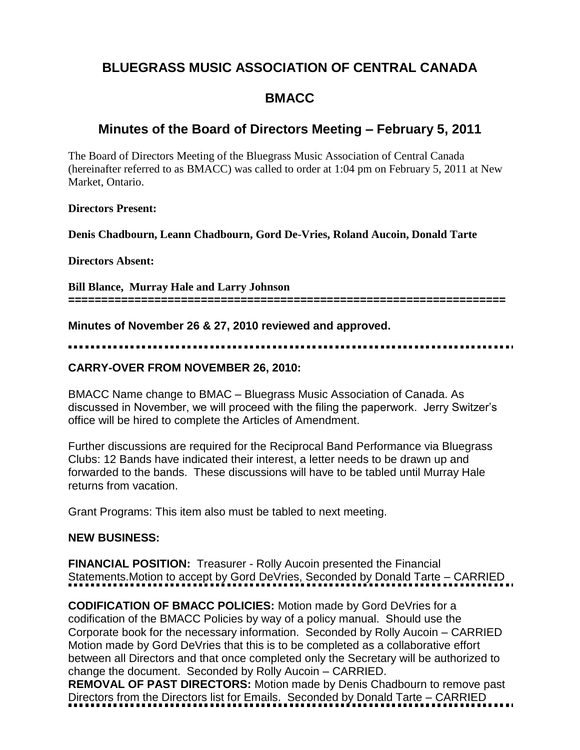# **BLUEGRASS MUSIC ASSOCIATION OF CENTRAL CANADA**

# **BMACC**

## **Minutes of the Board of Directors Meeting – February 5, 2011**

The Board of Directors Meeting of the Bluegrass Music Association of Central Canada (hereinafter referred to as BMACC) was called to order at 1:04 pm on February 5, 2011 at New Market, Ontario.

#### **Directors Present:**

**Denis Chadbourn, Leann Chadbourn, Gord De-Vries, Roland Aucoin, Donald Tarte**

**Directors Absent:** 

**Bill Blance, Murray Hale and Larry Johnson ==================================================================**

**Minutes of November 26 & 27, 2010 reviewed and approved.**

### **CARRY-OVER FROM NOVEMBER 26, 2010:**

BMACC Name change to BMAC – Bluegrass Music Association of Canada. As discussed in November, we will proceed with the filing the paperwork. Jerry Switzer's office will be hired to complete the Articles of Amendment.

Further discussions are required for the Reciprocal Band Performance via Bluegrass Clubs: 12 Bands have indicated their interest, a letter needs to be drawn up and forwarded to the bands. These discussions will have to be tabled until Murray Hale returns from vacation.

Grant Programs: This item also must be tabled to next meeting.

### **NEW BUSINESS:**

**FINANCIAL POSITION:** Treasurer - Rolly Aucoin presented the Financial Statements.Motion to accept by Gord DeVries, Seconded by Donald Tarte – CARRIED

**CODIFICATION OF BMACC POLICIES:** Motion made by Gord DeVries for a codification of the BMACC Policies by way of a policy manual. Should use the Corporate book for the necessary information. Seconded by Rolly Aucoin – CARRIED Motion made by Gord DeVries that this is to be completed as a collaborative effort between all Directors and that once completed only the Secretary will be authorized to change the document. Seconded by Rolly Aucoin – CARRIED.

**REMOVAL OF PAST DIRECTORS:** Motion made by Denis Chadbourn to remove past Directors from the Directors list for Emails. Seconded by Donald Tarte – CARRIED